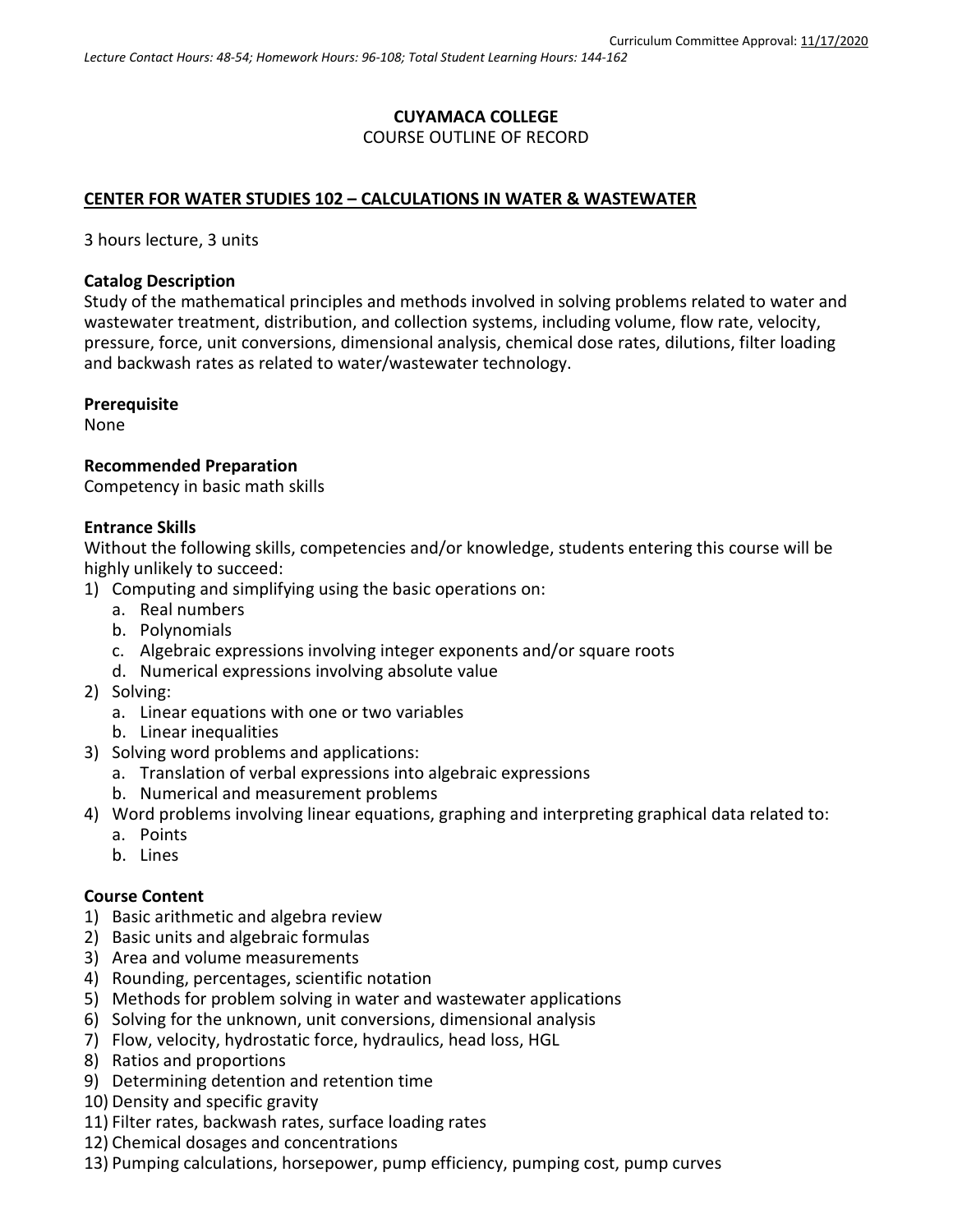## **CUYAMACA COLLEGE** COURSE OUTLINE OF RECORD

### **CENTER FOR WATER STUDIES 102 – CALCULATIONS IN WATER & WASTEWATER**

3 hours lecture, 3 units

### **Catalog Description**

Study of the mathematical principles and methods involved in solving problems related to water and wastewater treatment, distribution, and collection systems, including volume, flow rate, velocity, pressure, force, unit conversions, dimensional analysis, chemical dose rates, dilutions, filter loading and backwash rates as related to water/wastewater technology.

#### **Prerequisite**

None

### **Recommended Preparation**

Competency in basic math skills

### **Entrance Skills**

Without the following skills, competencies and/or knowledge, students entering this course will be highly unlikely to succeed:

- 1) Computing and simplifying using the basic operations on:
	- a. Real numbers
		- b. Polynomials
		- c. Algebraic expressions involving integer exponents and/or square roots
		- d. Numerical expressions involving absolute value
- 2) Solving:
	- a. Linear equations with one or two variables
	- b. Linear inequalities
- 3) Solving word problems and applications:
	- a. Translation of verbal expressions into algebraic expressions
	- b. Numerical and measurement problems
- 4) Word problems involving linear equations, graphing and interpreting graphical data related to:
	- a. Points
	- b. Lines

## **Course Content**

- 1) Basic arithmetic and algebra review
- 2) Basic units and algebraic formulas
- 3) Area and volume measurements
- 4) Rounding, percentages, scientific notation
- 5) Methods for problem solving in water and wastewater applications
- 6) Solving for the unknown, unit conversions, dimensional analysis
- 7) Flow, velocity, hydrostatic force, hydraulics, head loss, HGL
- 8) Ratios and proportions
- 9) Determining detention and retention time
- 10) Density and specific gravity
- 11) Filter rates, backwash rates, surface loading rates
- 12) Chemical dosages and concentrations
- 13) Pumping calculations, horsepower, pump efficiency, pumping cost, pump curves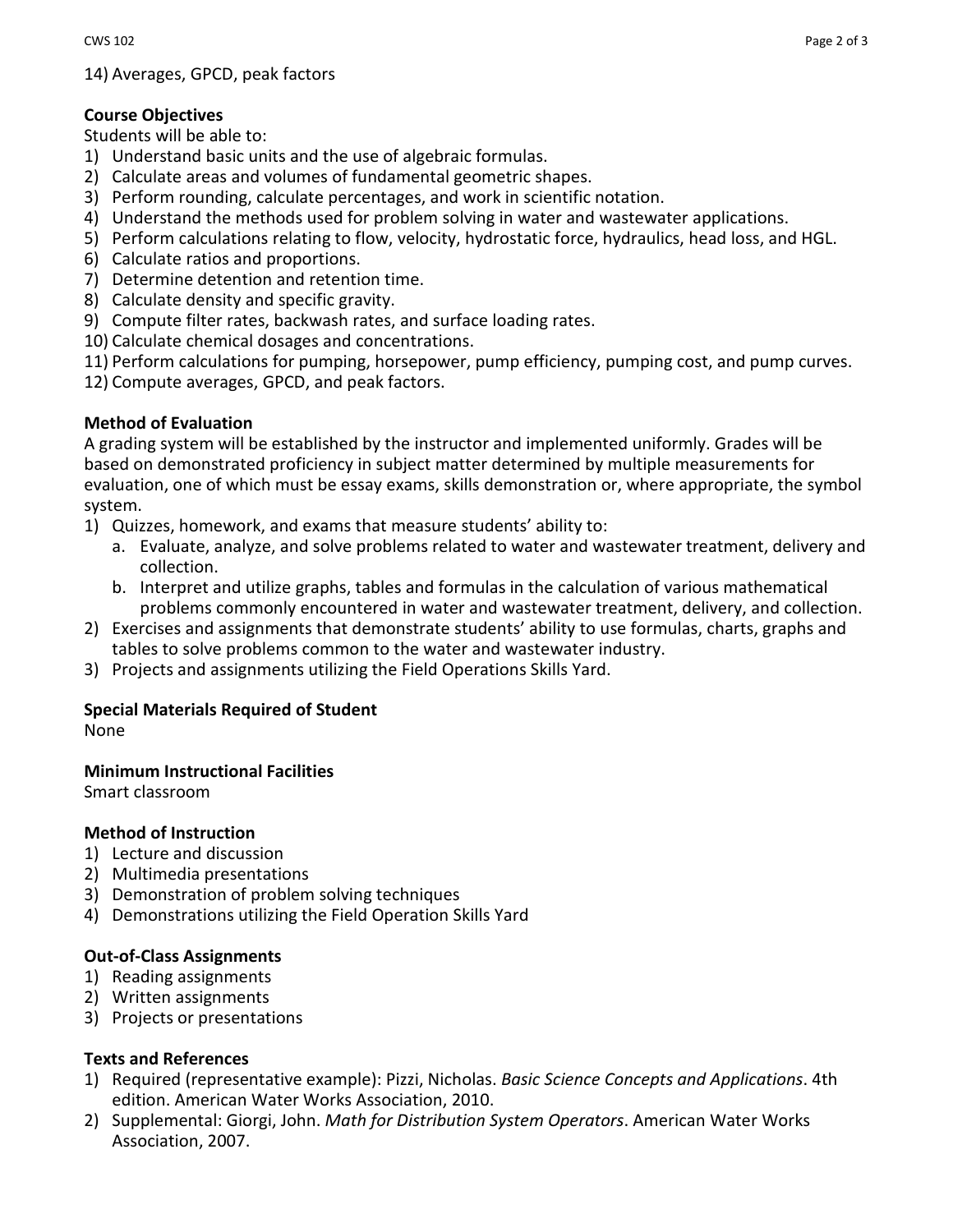14) Averages, GPCD, peak factors

# **Course Objectives**

Students will be able to:

- 1) Understand basic units and the use of algebraic formulas.
- 2) Calculate areas and volumes of fundamental geometric shapes.
- 3) Perform rounding, calculate percentages, and work in scientific notation.
- 4) Understand the methods used for problem solving in water and wastewater applications.
- 5) Perform calculations relating to flow, velocity, hydrostatic force, hydraulics, head loss, and HGL.
- 6) Calculate ratios and proportions.
- 7) Determine detention and retention time.
- 8) Calculate density and specific gravity.
- 9) Compute filter rates, backwash rates, and surface loading rates.
- 10) Calculate chemical dosages and concentrations.
- 11) Perform calculations for pumping, horsepower, pump efficiency, pumping cost, and pump curves.
- 12) Compute averages, GPCD, and peak factors.

## **Method of Evaluation**

A grading system will be established by the instructor and implemented uniformly. Grades will be based on demonstrated proficiency in subject matter determined by multiple measurements for evaluation, one of which must be essay exams, skills demonstration or, where appropriate, the symbol system.

- 1) Quizzes, homework, and exams that measure students' ability to:
	- a. Evaluate, analyze, and solve problems related to water and wastewater treatment, delivery and collection.
	- b. Interpret and utilize graphs, tables and formulas in the calculation of various mathematical problems commonly encountered in water and wastewater treatment, delivery, and collection.
- 2) Exercises and assignments that demonstrate students' ability to use formulas, charts, graphs and tables to solve problems common to the water and wastewater industry.
- 3) Projects and assignments utilizing the Field Operations Skills Yard.

# **Special Materials Required of Student**

None

## **Minimum Instructional Facilities**

Smart classroom

## **Method of Instruction**

- 1) Lecture and discussion
- 2) Multimedia presentations
- 3) Demonstration of problem solving techniques
- 4) Demonstrations utilizing the Field Operation Skills Yard

## **Out-of-Class Assignments**

- 1) Reading assignments
- 2) Written assignments
- 3) Projects or presentations

## **Texts and References**

- 1) Required (representative example): Pizzi, Nicholas. *Basic Science Concepts and Applications*. 4th edition. American Water Works Association, 2010.
- 2) Supplemental: Giorgi, John. *Math for Distribution System Operators*. American Water Works Association, 2007.